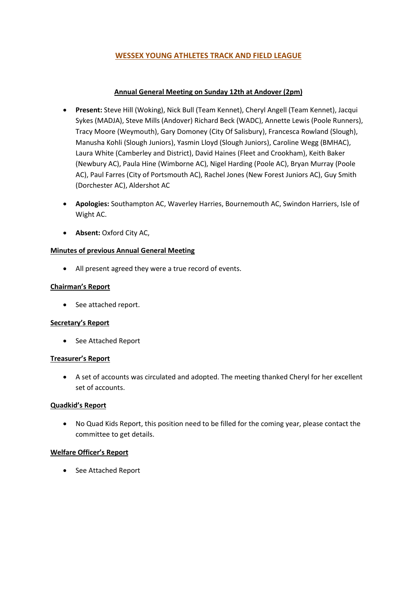# WESSEX YOUNG ATHLETES TRACK AND FIELD LEAGUE

# Annual General Meeting on Sunday 12th at Andover (2pm)

- Present: Steve Hill (Woking), Nick Bull (Team Kennet), Cheryl Angell (Team Kennet), Jacqui Sykes (MADJA), Steve Mills (Andover) Richard Beck (WADC), Annette Lewis (Poole Runners), Tracy Moore (Weymouth), Gary Domoney (City Of Salisbury), Francesca Rowland (Slough), Manusha Kohli (Slough Juniors), Yasmin Lloyd (Slough Juniors), Caroline Wegg (BMHAC), Laura White (Camberley and District), David Haines (Fleet and Crookham), Keith Baker (Newbury AC), Paula Hine (Wimborne AC), Nigel Harding (Poole AC), Bryan Murray (Poole AC), Paul Farres (City of Portsmouth AC), Rachel Jones (New Forest Juniors AC), Guy Smith (Dorchester AC), Aldershot AC
- Apologies: Southampton AC, Waverley Harries, Bournemouth AC, Swindon Harriers, Isle of Wight AC.
- Absent: Oxford City AC,

# Minutes of previous Annual General Meeting

All present agreed they were a true record of events.

# Chairman's Report

• See attached report.

### Secretary's Report

• See Attached Report

### Treasurer's Report

 A set of accounts was circulated and adopted. The meeting thanked Cheryl for her excellent set of accounts.

### Quadkid's Report

 No Quad Kids Report, this position need to be filled for the coming year, please contact the committee to get details.

### Welfare Officer's Report

• See Attached Report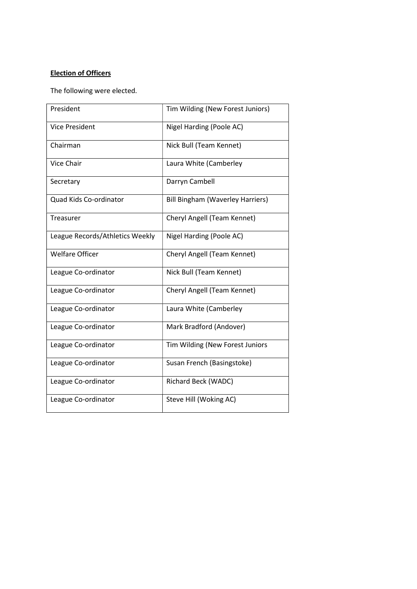# Election of Officers

The following were elected.

| President                       | Tim Wilding (New Forest Juniors)        |
|---------------------------------|-----------------------------------------|
| Vice President                  | Nigel Harding (Poole AC)                |
| Chairman                        | Nick Bull (Team Kennet)                 |
| Vice Chair                      | Laura White (Camberley                  |
| Secretary                       | Darryn Cambell                          |
| Quad Kids Co-ordinator          | <b>Bill Bingham (Waverley Harriers)</b> |
| Treasurer                       | Cheryl Angell (Team Kennet)             |
| League Records/Athletics Weekly | Nigel Harding (Poole AC)                |
| <b>Welfare Officer</b>          | Cheryl Angell (Team Kennet)             |
| League Co-ordinator             | Nick Bull (Team Kennet)                 |
| League Co-ordinator             | Cheryl Angell (Team Kennet)             |
| League Co-ordinator             | Laura White (Camberley                  |
| League Co-ordinator             | Mark Bradford (Andover)                 |
| League Co-ordinator             | Tim Wilding (New Forest Juniors         |
| League Co-ordinator             | Susan French (Basingstoke)              |
| League Co-ordinator             | Richard Beck (WADC)                     |
| League Co-ordinator             | Steve Hill (Woking AC)                  |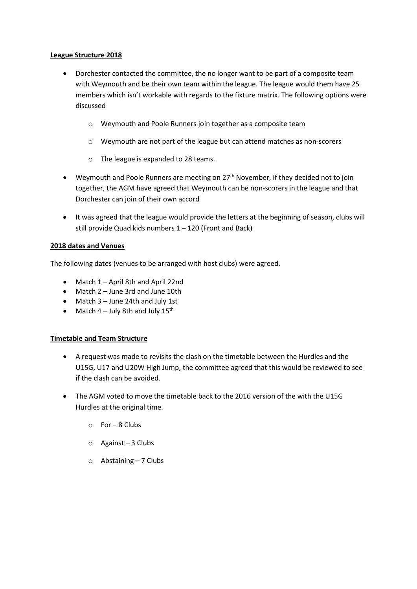### League Structure 2018

- Dorchester contacted the committee, the no longer want to be part of a composite team with Weymouth and be their own team within the league. The league would them have 25 members which isn't workable with regards to the fixture matrix. The following options were discussed
	- o Weymouth and Poole Runners join together as a composite team
	- o Weymouth are not part of the league but can attend matches as non-scorers
	- o The league is expanded to 28 teams.
- $\bullet$  Weymouth and Poole Runners are meeting on 27<sup>th</sup> November, if they decided not to join together, the AGM have agreed that Weymouth can be non-scorers in the league and that Dorchester can join of their own accord
- It was agreed that the league would provide the letters at the beginning of season, clubs will still provide Quad kids numbers 1 – 120 (Front and Back)

### 2018 dates and Venues

The following dates (venues to be arranged with host clubs) were agreed.

- Match 1 April 8th and April 22nd
- Match 2 June 3rd and June 10th
- Match 3 June 24th and July 1st
- Match  $4$  July 8th and July  $15<sup>th</sup>$

### Timetable and Team Structure

- A request was made to revisits the clash on the timetable between the Hurdles and the U15G, U17 and U20W High Jump, the committee agreed that this would be reviewed to see if the clash can be avoided.
- The AGM voted to move the timetable back to the 2016 version of the with the U15G Hurdles at the original time.
	- $\circ$  For 8 Clubs
	- o Against 3 Clubs
	- $\circ$  Abstaining 7 Clubs